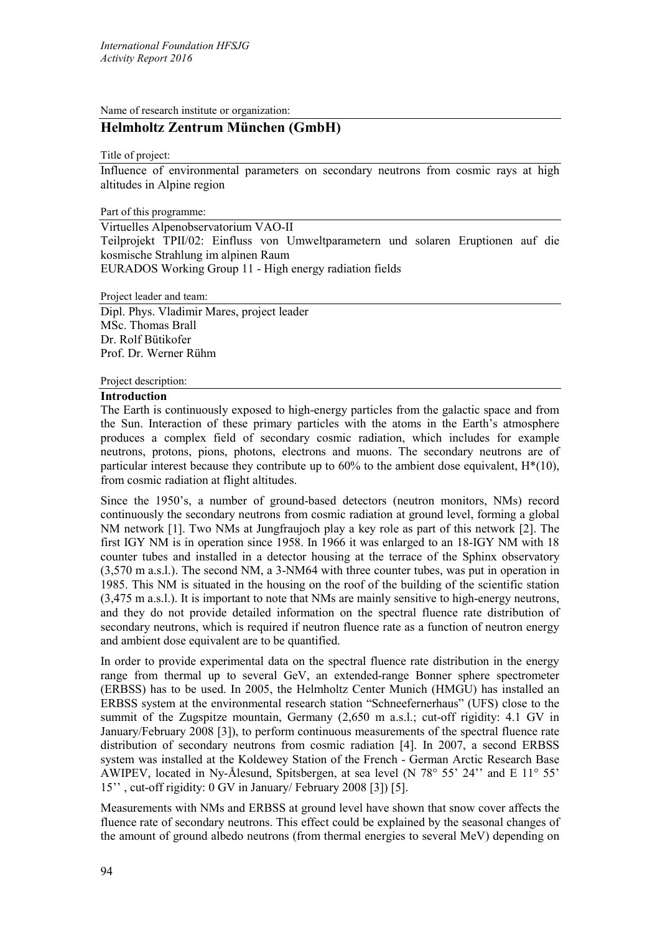Name of research institute or organization:

# **Helmholtz Zentrum München (GmbH)**

Title of project:

Influence of environmental parameters on secondary neutrons from cosmic rays at high altitudes in Alpine region

Part of this programme:

Virtuelles Alpenobservatorium VAO-II Teilprojekt TPII/02: Einfluss von Umweltparametern und solaren Eruptionen auf die kosmische Strahlung im alpinen Raum EURADOS Working Group 11 - High energy radiation fields

Project leader and team:

Dipl. Phys. Vladimir Mares, project leader MSc. Thomas Brall Dr. Rolf Bütikofer Prof. Dr. Werner Rühm

### Project description:

### **Introduction**

The Earth is continuously exposed to high-energy particles from the galactic space and from the Sun. Interaction of these primary particles with the atoms in the Earth's atmosphere produces a complex field of secondary cosmic radiation, which includes for example neutrons, protons, pions, photons, electrons and muons. The secondary neutrons are of particular interest because they contribute up to  $60\%$  to the ambient dose equivalent,  $H^*(10)$ , from cosmic radiation at flight altitudes.

Since the 1950's, a number of ground-based [detectors](https://en.wikipedia.org/wiki/Particle_detector) (neutron monitors, NMs) record continuously the secondary neutrons from cosmic radiation at ground level, forming a global NM network [1]. Two NMs at Jungfraujoch play a key role as part of this network [2]. The first IGY NM is in operation since 1958. In 1966 it was enlarged to an 18-IGY NM with 18 counter tubes and installed in a detector housing at the terrace of the Sphinx observatory (3,570 m a.s.l.). The second NM, a 3-NM64 with three counter tubes, was put in operation in 1985. This NM is situated in the housing on the roof of the building of the scientific station (3,475 m a.s.l.). It is important to note that NMs are mainly sensitive to high-energy neutrons, and they do not provide detailed information on the spectral fluence rate distribution of secondary neutrons, which is required if neutron fluence rate as a function of neutron energy and ambient dose equivalent are to be quantified.

In order to provide experimental data on the spectral fluence rate distribution in the energy range from thermal up to several GeV, an extended-range Bonner sphere spectrometer (ERBSS) has to be used. In 2005, the Helmholtz Center Munich (HMGU) has installed an ERBSS system at the environmental research station "Schneefernerhaus" (UFS) close to the summit of the Zugspitze mountain, Germany (2,650 m a.s.l.; cut-off rigidity: 4.1 GV in January/February 2008 [3]), to perform continuous measurements of the spectral fluence rate distribution of secondary neutrons from cosmic radiation [4]. In 2007, a second ERBSS system was installed at the Koldewey Station of the French - German Arctic Research Base AWIPEV, located in Ny-Ålesund, Spitsbergen, at sea level (N 78° 55' 24'' and E 11° 55' 15'' , cut-off rigidity: 0 GV in January/ February 2008 [3]) [5].

Measurements with NMs and ERBSS at ground level have shown that snow cover affects the fluence rate of secondary neutrons. This effect could be explained by the seasonal changes of the amount of ground albedo neutrons (from thermal energies to several MeV) depending on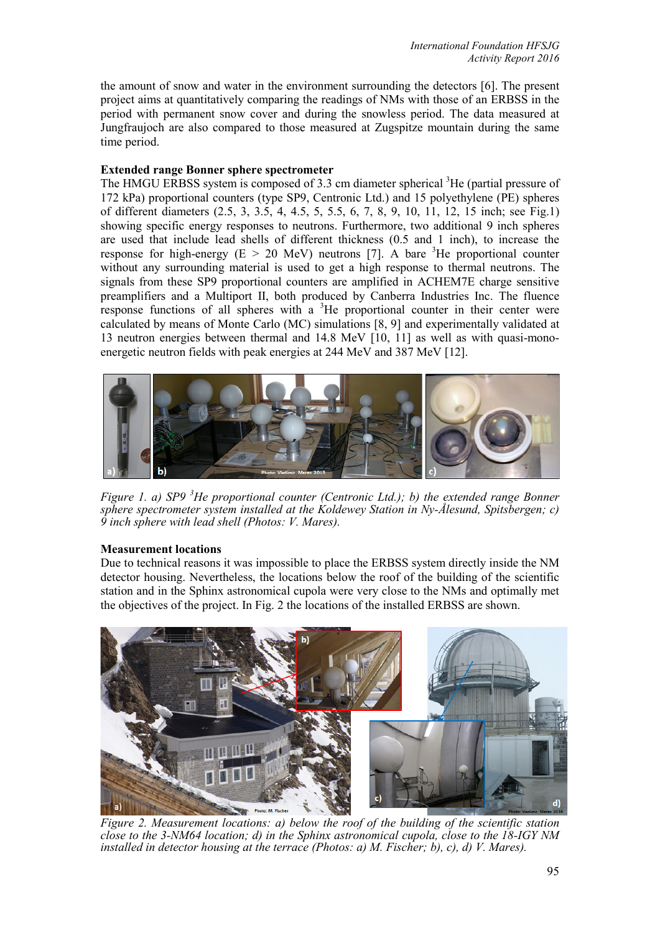the amount of snow and water in the environment surrounding the detectors [6]. The present project aims at quantitatively comparing the readings of NMs with those of an ERBSS in the period with permanent snow cover and during the snowless period. The data measured at Jungfraujoch are also compared to those measured at Zugspitze mountain during the same time period.

# **Extended range Bonner sphere spectrometer**

The HMGU ERBSS system is composed of 3.3 cm diameter spherical <sup>3</sup>He (partial pressure of 172 kPa) proportional counters (type SP9, Centronic Ltd.) and 15 polyethylene (PE) spheres of different diameters (2.5, 3, 3.5, 4, 4.5, 5, 5.5, 6, 7, 8, 9, 10, 11, 12, 15 inch; see Fig.1) showing specific energy responses to neutrons. Furthermore, two additional 9 inch spheres are used that include lead shells of different thickness (0.5 and 1 inch), to increase the response for high-energy ( $E > 20$  MeV) neutrons [7]. A bare <sup>3</sup>He proportional counter without any surrounding material is used to get a high response to thermal neutrons. The signals from these SP9 proportional counters are amplified in ACHEM7E charge sensitive preamplifiers and a Multiport II, both produced by Canberra Industries Inc. The fluence response functions of all spheres with a  ${}^{3}$ He proportional counter in their center were calculated by means of Monte Carlo (MC) simulations [8, 9] and experimentally validated at 13 neutron energies between thermal and 14.8 MeV [10, 11] as well as with quasi-monoenergetic neutron fields with peak energies at 244 MeV and 387 MeV [12].



*Figure 1. a) SP9<sup>3</sup>He proportional counter (Centronic Ltd.); b) the extended range Bonner sphere spectrometer system installed at the Koldewey Station in Ny-Ålesund, Spitsbergen; c) 9 inch sphere with lead shell (Photos: V. Mares).*

## **Measurement locations**

Due to technical reasons it was impossible to place the ERBSS system directly inside the NM detector housing. Nevertheless, the locations below the roof of the building of the scientific station and in the Sphinx astronomical cupola were very close to the NMs and optimally met the objectives of the project. In Fig. 2 the locations of the installed ERBSS are shown.



*Figure 2. Measurement locations: a) below the roof of the building of the scientific station close to the 3-NM64 location; d) in the Sphinx astronomical cupola, close to the 18-IGY NM installed in detector housing at the terrace (Photos: a) M. Fischer; b), c), d) V. Mares).*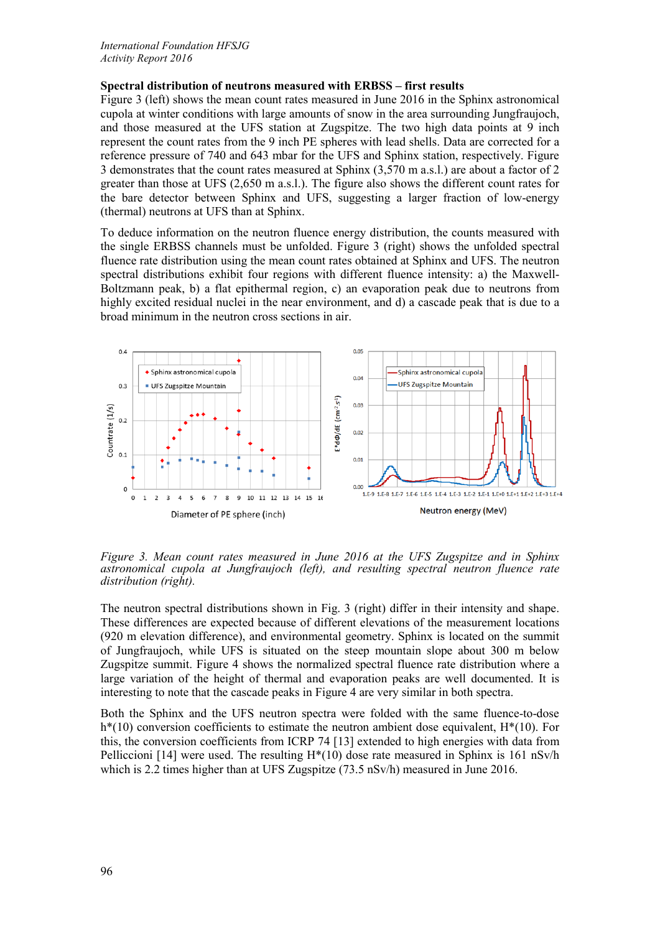# **Spectral distribution of neutrons measured with ERBSS – first results**

Figure 3 (left) shows the mean count rates measured in June 2016 in the Sphinx astronomical cupola at winter conditions with large amounts of snow in the area surrounding Jungfraujoch, and those measured at the UFS station at Zugspitze. The two high data points at 9 inch represent the count rates from the 9 inch PE spheres with lead shells. Data are corrected for a reference pressure of 740 and 643 mbar for the UFS and Sphinx station, respectively. Figure 3 demonstrates that the count rates measured at Sphinx (3,570 m a.s.l.) are about a factor of 2 greater than those at UFS (2,650 m a.s.l.). The figure also shows the different count rates for the bare detector between Sphinx and UFS, suggesting a larger fraction of low-energy (thermal) neutrons at UFS than at Sphinx.

To deduce information on the neutron fluence energy distribution, the counts measured with the single ERBSS channels must be unfolded. Figure 3 (right) shows the unfolded spectral fluence rate distribution using the mean count rates obtained at Sphinx and UFS. The neutron spectral distributions exhibit four regions with different fluence intensity: a) the Maxwell-Boltzmann peak, b) a flat epithermal region, c) an evaporation peak due to neutrons from highly excited residual nuclei in the near environment, and d) a cascade peak that is due to a broad minimum in the neutron cross sections in air.



*Figure 3. Mean count rates measured in June 2016 at the UFS Zugspitze and in Sphinx astronomical cupola at Jungfraujoch (left), and resulting spectral neutron fluence rate distribution (right).*

The neutron spectral distributions shown in Fig. 3 (right) differ in their intensity and shape. These differences are expected because of different elevations of the measurement locations (920 m elevation difference), and environmental geometry. Sphinx is located on the summit of Jungfraujoch, while UFS is situated on the steep mountain slope about 300 m below Zugspitze summit. Figure 4 shows the normalized spectral fluence rate distribution where a large variation of the height of thermal and evaporation peaks are well documented. It is interesting to note that the cascade peaks in Figure 4 are very similar in both spectra.

Both the Sphinx and the UFS neutron spectra were folded with the same fluence-to-dose  $h^*(10)$  conversion coefficients to estimate the neutron ambient dose equivalent,  $H^*(10)$ . For this, the conversion coefficients from ICRP 74 [13] extended to high energies with data from Pelliccioni [14] were used. The resulting  $H^*(10)$  dose rate measured in Sphinx is 161 nSv/h which is 2.2 times higher than at UFS Zugspitze (73.5 nSv/h) measured in June 2016.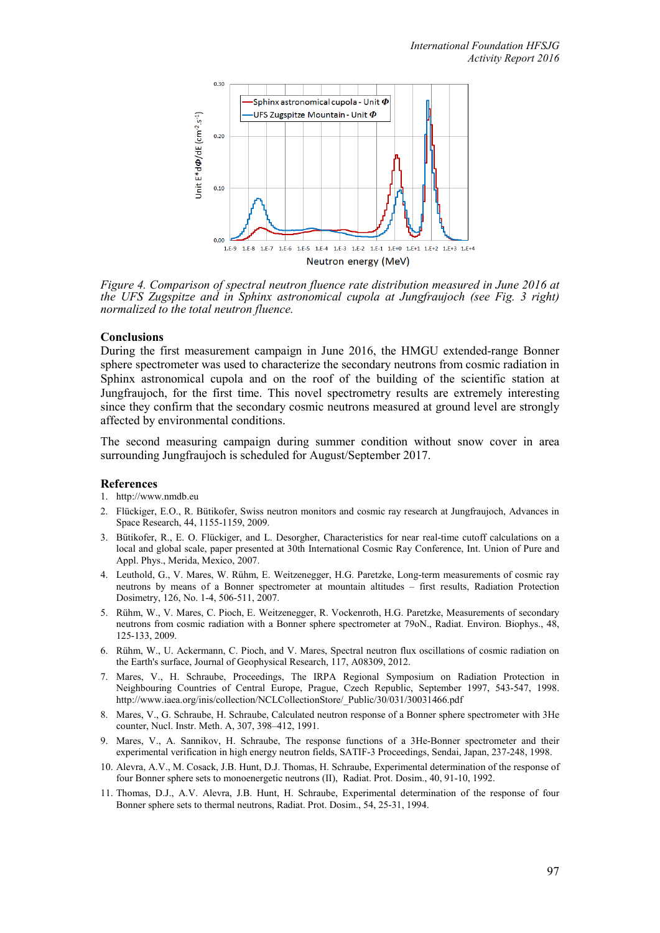

*Figure 4. Comparison of spectral neutron fluence rate distribution measured in June 2016 at the UFS Zugspitze and in Sphinx astronomical cupola at Jungfraujoch (see Fig. 3 right) normalized to the total neutron fluence.*

## **Conclusions**

During the first measurement campaign in June 2016, the HMGU extended-range Bonner sphere spectrometer was used to characterize the secondary neutrons from cosmic radiation in Sphinx astronomical cupola and on the roof of the building of the scientific station at Jungfraujoch, for the first time. This novel spectrometry results are extremely interesting since they confirm that the secondary cosmic neutrons measured at ground level are strongly affected by environmental conditions.

The second measuring campaign during summer condition without snow cover in area surrounding Jungfraujoch is scheduled for August/September 2017.

#### **References**

- 1. [http://www.nmdb.eu](http://www.nmdb.eu/)
- 2. Flückiger, E.O., R. Bütikofer, Swiss neutron monitors and cosmic ray research at Jungfraujoch, Advances in Space Research, 44, 1155-1159, 2009.
- 3. Bütikofer, R., E. O. Flückiger, and L. Desorgher, Characteristics for near real-time cutoff calculations on a local and global scale, paper presented at 30th International Cosmic Ray Conference, Int. Union of Pure and Appl. Phys., Merida, Mexico, 2007.
- 4. Leuthold, G., V. Mares, W. Rühm, E. Weitzenegger, H.G. Paretzke, Long-term measurements of cosmic ray neutrons by means of a Bonner spectrometer at mountain altitudes – first results, Radiation Protection Dosimetry, 126, No. 1-4, 506-511, 2007.
- 5. Rühm, W., V. Mares, C. Pioch, E. Weitzenegger, R. Vockenroth, H.G. Paretzke, Measurements of secondary neutrons from cosmic radiation with a Bonner sphere spectrometer at 79oN., Radiat. Environ. Biophys., 48, 125-133, 2009.
- 6. Rühm, W., U. Ackermann, C. Pioch, and V. Mares, Spectral neutron flux oscillations of cosmic radiation on the Earth's surface, Journal of Geophysical Research, 117, A08309, 2012.
- 7. Mares, V., H. Schraube, Proceedings, The IRPA Regional Symposium on Radiation Protection in Neighbouring Countries of Central Europe, Prague, Czech Republic, September 1997, 543-547, 1998. [http://www.iaea.org/inis/collection/NCLCollectionStore/\\_Public/30/031/30031466.pdf](http://www.iaea.org/inis/collection/NCLCollectionStore/_Public/30/031/30031466.pdf)
- 8. Mares, V., G. Schraube, H. Schraube, Calculated neutron response of a Bonner sphere spectrometer with 3He counter, Nucl. Instr. Meth. A, 307, 398–412, 1991.
- 9. Mares, V., A. Sannikov, H. Schraube, The response functions of a 3He-Bonner spectrometer and their experimental verification in high energy neutron fields, SATIF-3 Proceedings, Sendai, Japan, 237-248, 1998.
- 10. Alevra, A.V., M. Cosack, J.B. Hunt, D.J. Thomas, H. Schraube, Experimental determination of the response of four Bonner sphere sets to monoenergetic neutrons (II), Radiat. Prot. Dosim., 40, 91-10, 1992.
- 11. Thomas, D.J., A.V. Alevra, J.B. Hunt, H. Schraube, Experimental determination of the response of four Bonner sphere sets to thermal neutrons, Radiat. Prot. Dosim., 54, 25-31, 1994.